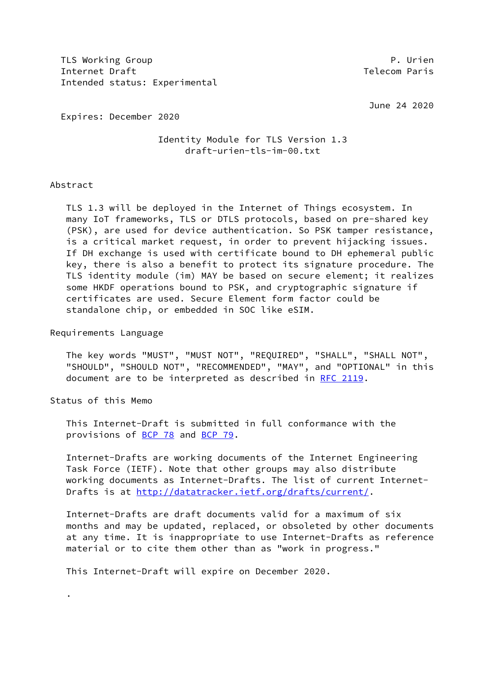TLS Working Group **P. Utimate Struck** Control of the P. Urien P. Utimate P. Utimate P. Utimate P. Utimate P. Utimate P. Utimate P. Utimate P. Utimate P. Utimate P. Utimate P. Utimate P. Utimate P. Utimate P. Utimate P. Uti Internet Draft Telecom Paris Intended status: Experimental

June 24 2020

Expires: December 2020

 Identity Module for TLS Version 1.3 draft-urien-tls-im-00.txt

### Abstract

 TLS 1.3 will be deployed in the Internet of Things ecosystem. In many IoT frameworks, TLS or DTLS protocols, based on pre-shared key (PSK), are used for device authentication. So PSK tamper resistance, is a critical market request, in order to prevent hijacking issues. If DH exchange is used with certificate bound to DH ephemeral public key, there is also a benefit to protect its signature procedure. The TLS identity module (im) MAY be based on secure element; it realizes some HKDF operations bound to PSK, and cryptographic signature if certificates are used. Secure Element form factor could be standalone chip, or embedded in SOC like eSIM.

Requirements Language

 The key words "MUST", "MUST NOT", "REQUIRED", "SHALL", "SHALL NOT", "SHOULD", "SHOULD NOT", "RECOMMENDED", "MAY", and "OPTIONAL" in this document are to be interpreted as described in [RFC 2119.](https://datatracker.ietf.org/doc/pdf/rfc2119)

Status of this Memo

.

 This Internet-Draft is submitted in full conformance with the provisions of [BCP 78](https://datatracker.ietf.org/doc/pdf/bcp78) and [BCP 79](https://datatracker.ietf.org/doc/pdf/bcp79).

 Internet-Drafts are working documents of the Internet Engineering Task Force (IETF). Note that other groups may also distribute working documents as Internet-Drafts. The list of current Internet- Drafts is at<http://datatracker.ietf.org/drafts/current/>.

 Internet-Drafts are draft documents valid for a maximum of six months and may be updated, replaced, or obsoleted by other documents at any time. It is inappropriate to use Internet-Drafts as reference material or to cite them other than as "work in progress."

This Internet-Draft will expire on December 2020.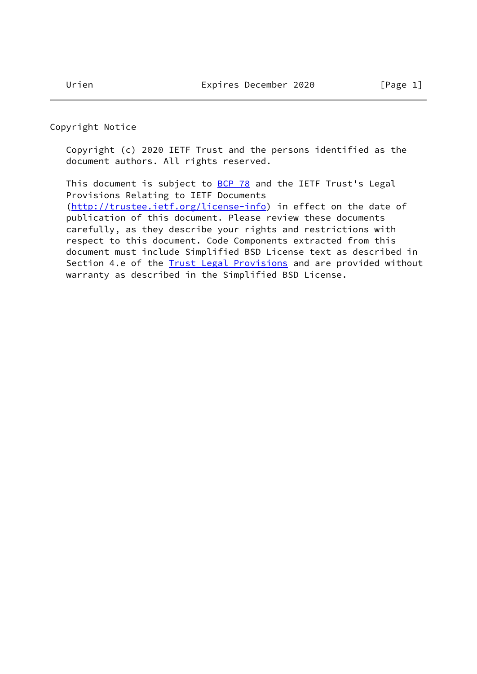<span id="page-1-0"></span>Copyright Notice

 Copyright (c) 2020 IETF Trust and the persons identified as the document authors. All rights reserved.

This document is subject to **[BCP 78](https://datatracker.ietf.org/doc/pdf/bcp78)** and the IETF Trust's Legal Provisions Relating to IETF Documents [\(http://trustee.ietf.org/license-info](http://trustee.ietf.org/license-info)) in effect on the date of publication of this document. Please review these documents carefully, as they describe your rights and restrictions with respect to this document. Code Components extracted from this document must include Simplified BSD License text as described in Section 4.e of the **[Trust Legal Provisions](https://trustee.ietf.org/license-info)** and are provided without warranty as described in the Simplified BSD License.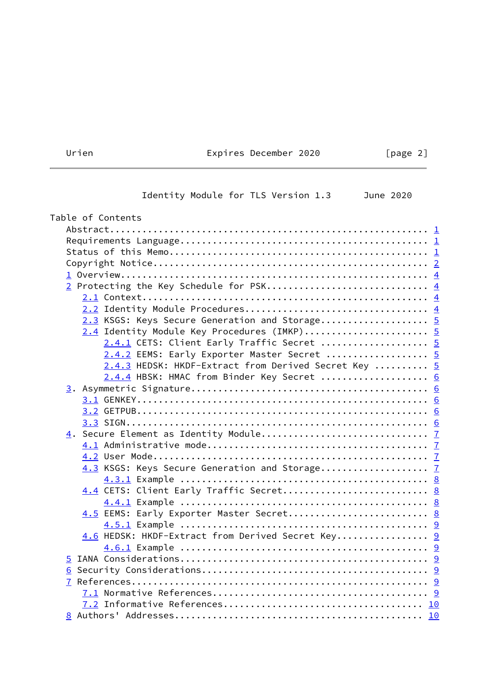# Urien **Expires December 2020** [page 2]

 $\overline{\phantom{a}}$ 

# Identity Module for TLS Version 1.3 June 2020

| Table of Contents                                    |  |
|------------------------------------------------------|--|
|                                                      |  |
|                                                      |  |
|                                                      |  |
|                                                      |  |
|                                                      |  |
| 2 Protecting the Key Schedule for PSK 4              |  |
|                                                      |  |
|                                                      |  |
| 2.3 KSGS: Keys Secure Generation and Storage 5       |  |
| 2.4 Identity Module Key Procedures (IMKP) 5          |  |
| 2.4.1 CETS: Client Early Traffic Secret  5           |  |
| 2.4.2 EEMS: Early Exporter Master Secret  5          |  |
| 2.4.3 HEDSK: HKDF-Extract from Derived Secret Key  5 |  |
| 2.4.4 HBSK: HMAC from Binder Key Secret  6           |  |
|                                                      |  |
|                                                      |  |
|                                                      |  |
|                                                      |  |
|                                                      |  |
|                                                      |  |
| 4.3 KSGS: Keys Secure Generation and Storage 7       |  |
|                                                      |  |
| 4.4 CETS: Client Early Traffic Secret 8              |  |
|                                                      |  |
| 4.5 EEMS: Early Exporter Master Secret 8             |  |
|                                                      |  |
| 4.6 HEDSK: HKDF-Extract from Derived Secret Key 9    |  |
|                                                      |  |
|                                                      |  |
|                                                      |  |
|                                                      |  |
|                                                      |  |
|                                                      |  |
|                                                      |  |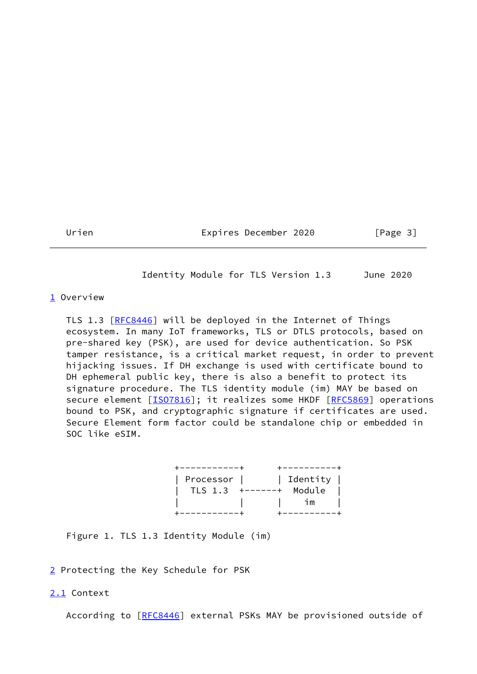<span id="page-3-1"></span>

Urien Expires December 2020 [Page 3]

Identity Module for TLS Version 1.3 June 2020

# <span id="page-3-0"></span>[1](#page-3-0) Overview

 TLS 1.3 [\[RFC8446](https://datatracker.ietf.org/doc/pdf/rfc8446)] will be deployed in the Internet of Things ecosystem. In many IoT frameworks, TLS or DTLS protocols, based on pre-shared key (PSK), are used for device authentication. So PSK tamper resistance, is a critical market request, in order to prevent hijacking issues. If DH exchange is used with certificate bound to DH ephemeral public key, there is also a benefit to protect its signature procedure. The TLS identity module (im) MAY be based on secure element [\[ISO7816](#page-10-3)]; it realizes some HKDF [\[RFC5869](https://datatracker.ietf.org/doc/pdf/rfc5869)] operations bound to PSK, and cryptographic signature if certificates are used. Secure Element form factor could be standalone chip or embedded in SOC like eSIM.

| Processor     Identity |                |                             |
|------------------------|----------------|-----------------------------|
|                        |                | TLS 1.3 +------+ Module $ $ |
|                        | $\blacksquare$ |                             |
|                        |                |                             |

Figure 1. TLS 1.3 Identity Module (im)

# <span id="page-3-2"></span>[2](#page-3-2) Protecting the Key Schedule for PSK

# <span id="page-3-3"></span>[2.1](#page-3-3) Context

According to [\[RFC8446](https://datatracker.ietf.org/doc/pdf/rfc8446)] external PSKs MAY be provisioned outside of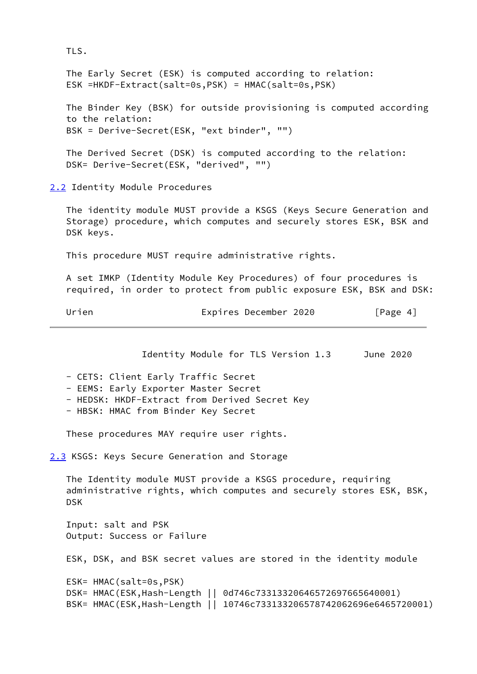TLS. The Early Secret (ESK) is computed according to relation: ESK =HKDF-Extract(salt=0s,PSK) = HMAC(salt=0s,PSK) The Binder Key (BSK) for outside provisioning is computed according to the relation: BSK = Derive-Secret(ESK, "ext binder", "") The Derived Secret (DSK) is computed according to the relation: DSK= Derive-Secret(ESK, "derived", "") The identity module MUST provide a KSGS (Keys Secure Generation and Storage) procedure, which computes and securely stores ESK, BSK and DSK keys. This procedure MUST require administrative rights. A set IMKP (Identity Module Key Procedures) of four procedures is required, in order to protect from public exposure ESK, BSK and DSK: Urien Expires December 2020 [Page 4]

Identity Module for TLS Version 1.3 June 2020

<span id="page-4-2"></span>- CETS: Client Early Traffic Secret

- EEMS: Early Exporter Master Secret
- HEDSK: HKDF-Extract from Derived Secret Key
- HBSK: HMAC from Binder Key Secret

These procedures MAY require user rights.

<span id="page-4-1"></span>[2.3](#page-4-1) KSGS: Keys Secure Generation and Storage

 The Identity module MUST provide a KSGS procedure, requiring administrative rights, which computes and securely stores ESK, BSK, DSK

 Input: salt and PSK Output: Success or Failure

ESK, DSK, and BSK secret values are stored in the identity module

```
 ESK= HMAC(salt=0s,PSK)
 DSK= HMAC(ESK,Hash-Length || 0d746c73313320646572697665640001)
 BSK= HMAC(ESK,Hash-Length || 10746c733133206578742062696e6465720001)
```
<span id="page-4-0"></span>[2.2](#page-4-0) Identity Module Procedures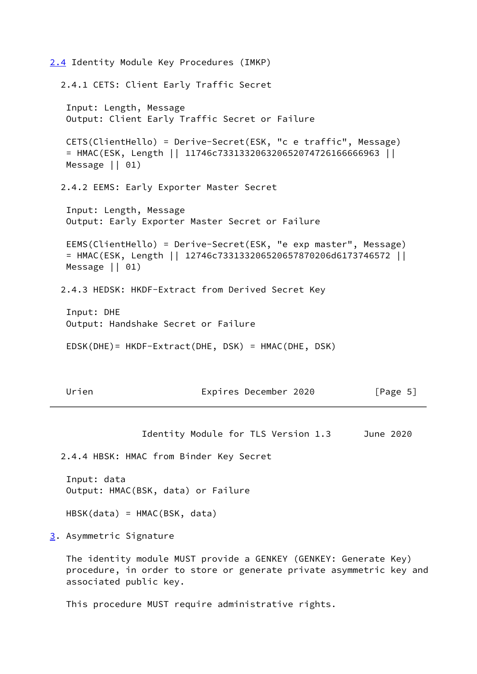```
2.4 Identity Module Key Procedures (IMKP)
   2.4.1 CETS: Client Early Traffic Secret
    Input: Length, Message
   Output: Client Early Traffic Secret or Failure
   CETS(ClientHello) = Derive-Secret(ESK, "c e traffic", Message)
    = HMAC(ESK, Length || 11746c733133206320652074726166666963 ||
  Message | 01) 2.4.2 EEMS: Early Exporter Master Secret
    Input: Length, Message
   Output: Early Exporter Master Secret or Failure
   EEMS(ClientHello) = Derive-Secret(ESK, "e exp master", Message)
    = HMAC(ESK, Length || 12746c733133206520657870206d6173746572 ||
   Message || 01)
   2.4.3 HEDSK: HKDF-Extract from Derived Secret Key
   Input: DHE
   Output: Handshake Secret or Failure
    EDSK(DHE)= HKDF-Extract(DHE, DSK) = HMAC(DHE, DSK)
```
<span id="page-5-1"></span>

| Expires December 2020<br>Urien | [Page 5] |
|--------------------------------|----------|
|--------------------------------|----------|

Identity Module for TLS Version 1.3 June 2020

2.4.4 HBSK: HMAC from Binder Key Secret

 Input: data Output: HMAC(BSK, data) or Failure

HBSK(data) = HMAC(BSK, data)

<span id="page-5-2"></span>[3](#page-5-2). Asymmetric Signature

 The identity module MUST provide a GENKEY (GENKEY: Generate Key) procedure, in order to store or generate private asymmetric key and associated public key.

This procedure MUST require administrative rights.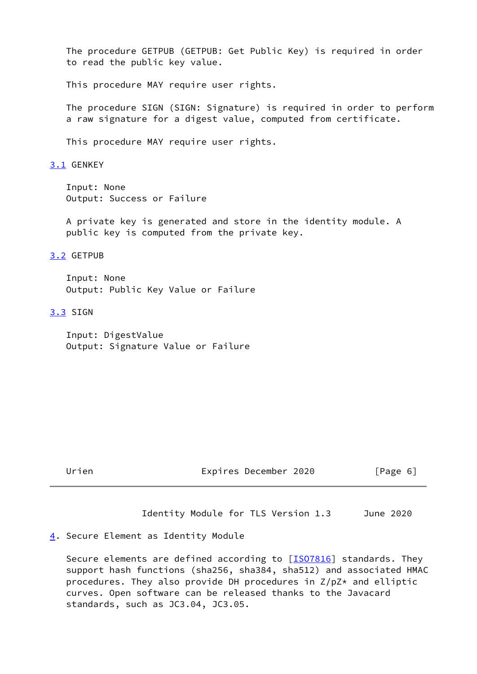The procedure GETPUB (GETPUB: Get Public Key) is required in order to read the public key value.

This procedure MAY require user rights.

 The procedure SIGN (SIGN: Signature) is required in order to perform a raw signature for a digest value, computed from certificate.

This procedure MAY require user rights.

#### <span id="page-6-0"></span>[3.1](#page-6-0) GENKEY

 Input: None Output: Success or Failure

 A private key is generated and store in the identity module. A public key is computed from the private key.

## <span id="page-6-1"></span>[3.2](#page-6-1) GETPUB

 Input: None Output: Public Key Value or Failure

#### <span id="page-6-2"></span>[3.3](#page-6-2) SIGN

 Input: DigestValue Output: Signature Value or Failure

<span id="page-6-4"></span>Urien **Expires December 2020** [Page 6]

Identity Module for TLS Version 1.3 June 2020

### <span id="page-6-3"></span>[4](#page-6-3). Secure Element as Identity Module

Secure elements are defined according to [\[ISO7816](#page-10-3)] standards. They support hash functions (sha256, sha384, sha512) and associated HMAC procedures. They also provide DH procedures in  $Z/pZ*$  and elliptic curves. Open software can be released thanks to the Javacard standards, such as JC3.04, JC3.05.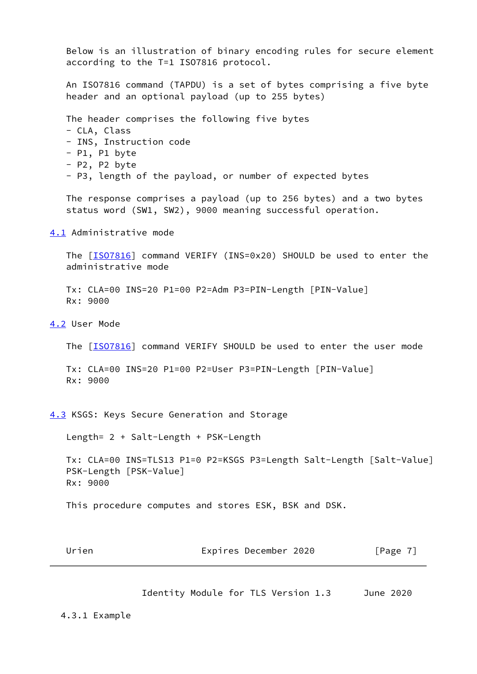Below is an illustration of binary encoding rules for secure element according to the T=1 ISO7816 protocol.

 An ISO7816 command (TAPDU) is a set of bytes comprising a five byte header and an optional payload (up to 255 bytes)

The header comprises the following five bytes

- CLA, Class
- INS, Instruction code
- P1, P1 byte
- P2, P2 byte
- P3, length of the payload, or number of expected bytes

 The response comprises a payload (up to 256 bytes) and a two bytes status word (SW1, SW2), 9000 meaning successful operation.

<span id="page-7-0"></span>[4.1](#page-7-0) Administrative mode

 The [\[ISO7816](#page-10-3)] command VERIFY (INS=0x20) SHOULD be used to enter the administrative mode

 Tx: CLA=00 INS=20 P1=00 P2=Adm P3=PIN-Length [PIN-Value] Rx: 9000

<span id="page-7-1"></span>[4.2](#page-7-1) User Mode

The [\[ISO7816](#page-10-3)] command VERIFY SHOULD be used to enter the user mode

 Tx: CLA=00 INS=20 P1=00 P2=User P3=PIN-Length [PIN-Value] Rx: 9000

<span id="page-7-2"></span>[4.3](#page-7-2) KSGS: Keys Secure Generation and Storage

Length= 2 + Salt-Length + PSK-Length

 Tx: CLA=00 INS=TLS13 P1=0 P2=KSGS P3=Length Salt-Length [Salt-Value] PSK-Length [PSK-Value] Rx: 9000

This procedure computes and stores ESK, BSK and DSK.

<span id="page-7-3"></span>

| Expires December 2020<br>Urien | [Page 7] |
|--------------------------------|----------|
|--------------------------------|----------|

Identity Module for TLS Version 1.3 June 2020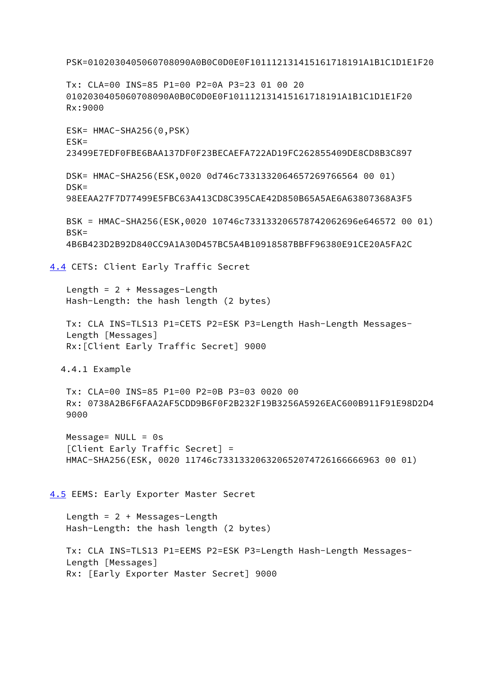```
 PSK=0102030405060708090A0B0C0D0E0F101112131415161718191A1B1C1D1E1F20
    Tx: CLA=00 INS=85 P1=00 P2=0A P3=23 01 00 20
    0102030405060708090A0B0C0D0E0F101112131415161718191A1B1C1D1E1F20
    Rx:9000
   ESK= HMAC-SHA256(0,PSK)
   ESK=
    23499E7EDF0FBE6BAA137DF0F23BECAEFA722AD19FC262855409DE8CD8B3C897
   DSK= HMAC-SHA256(ESK,0020 0d746c7331332064657269766564 00 01)
   DSK = 98EEAA27F7D77499E5FBC63A413CD8C395CAE42D850B65A5AE6A63807368A3F5
   BSK = HMAC-SHA256(ESK,0020 10746c733133206578742062696e646572 00 01)
    BSK=
    4B6B423D2B92D840CC9A1A30D457BC5A4B10918587BBFF96380E91CE20A5FA2C
4.4 CETS: Client Early Traffic Secret
    Length = 2 + Messages-Length
    Hash-Length: the hash length (2 bytes)
   Tx: CLA INS=TLS13 P1=CETS P2=ESK P3=Length Hash-Length Messages-
    Length [Messages]
   Rx:[Client Early Traffic Secret] 9000
   4.4.1 Example
   Tx: CLA=00 INS=85 P1=00 P2=0B P3=03 0020 00
   Rx: 0738A2B6F6FAA2AF5CDD9B6F0F2B232F19B3256A5926EAC600B911F91E98D2D4
    9000
   Message= NULL = 0s
    [Client Early Traffic Secret] =
    HMAC-SHA256(ESK, 0020 11746c733133206320652074726166666963 00 01)
4.5 EEMS: Early Exporter Master Secret
    Length = 2 + Messages-Length
    Hash-Length: the hash length (2 bytes)
   Tx: CLA INS=TLS13 P1=EEMS P2=ESK P3=Length Hash-Length Messages-
    Length [Messages]
    Rx: [Early Exporter Master Secret] 9000
```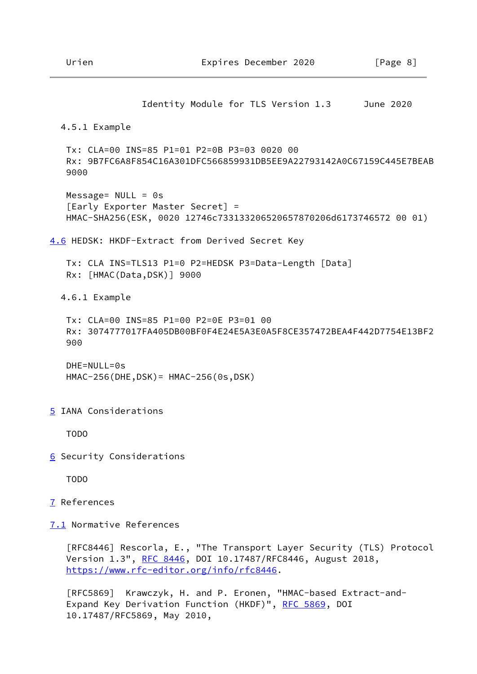```
 Identity Module for TLS Version 1.3 June 2020
   4.5.1 Example
   Tx: CLA=00 INS=85 P1=01 P2=0B P3=03 0020 00
    Rx: 9B7FC6A8F854C16A301DFC566859931DB5EE9A22793142A0C67159C445E7BEAB
    9000
   Message= NULL = 0s
    [Early Exporter Master Secret] =
   HMAC-SHA256(ESK, 0020 12746c733133206520657870206d6173746572 00 01)
4.6 HEDSK: HKDF-Extract from Derived Secret Key
   Tx: CLA INS=TLS13 P1=0 P2=HEDSK P3=Data-Length [Data]
   Rx: [HMAC(Data,DSK)] 9000
   4.6.1 Example
   Tx: CLA=00 INS=85 P1=00 P2=0E P3=01 00
    Rx: 3074777017FA405DB00BF0F4E24E5A3E0A5F8CE357472BEA4F442D7754E13BF2
    900
   DHE=NULL=0s
   HMAC-256(DHE,DSK)= HMAC-256(0s,DSK)
5 IANA Considerations
   TODO
6 Security Considerations
   TODO
7 References
7.1 Normative References
    [RFC8446] Rescorla, E., "The Transport Layer Security (TLS) Protocol
    Version 1.3", RFC 8446, DOI 10.17487/RFC8446, August 2018,
    https://www.rfc-editor.org/info/rfc8446.
    [RFC5869] Krawczyk, H. and P. Eronen, "HMAC-based Extract-and-
    RFC 5869, DOI
```
<span id="page-9-5"></span><span id="page-9-4"></span><span id="page-9-3"></span><span id="page-9-2"></span>10.17487/RFC5869, May 2010,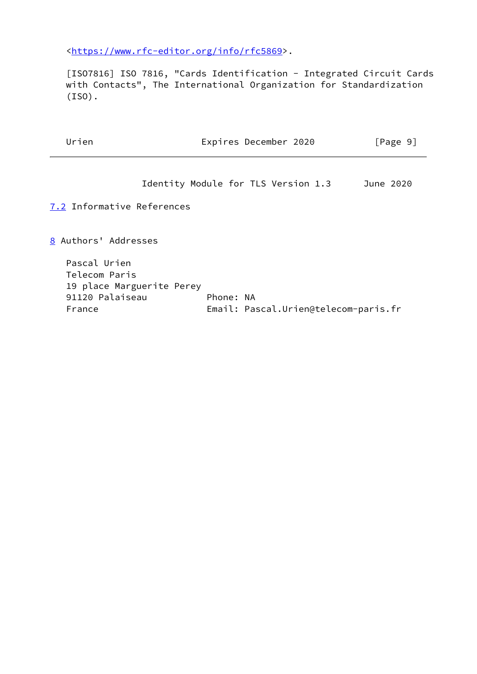[<https://www.rfc-editor.org/info/rfc5869](https://www.rfc-editor.org/info/rfc5869)>.

<span id="page-10-3"></span> [ISO7816] ISO 7816, "Cards Identification - Integrated Circuit Cards with Contacts", The International Organization for Standardization (ISO).

<span id="page-10-2"></span><span id="page-10-1"></span><span id="page-10-0"></span>

| Urien                                                                                   | Expires December 2020                             | [Page 9]  |
|-----------------------------------------------------------------------------------------|---------------------------------------------------|-----------|
|                                                                                         | Identity Module for TLS Version 1.3               | June 2020 |
| 7.2 Informative References                                                              |                                                   |           |
| 8 Authors' Addresses                                                                    |                                                   |           |
| Pascal Urien<br>Telecom Paris<br>19 place Marguerite Perey<br>91120 Palaiseau<br>France | Phone: NA<br>Email: Pascal.Urien@telecom-paris.fr |           |
|                                                                                         |                                                   |           |